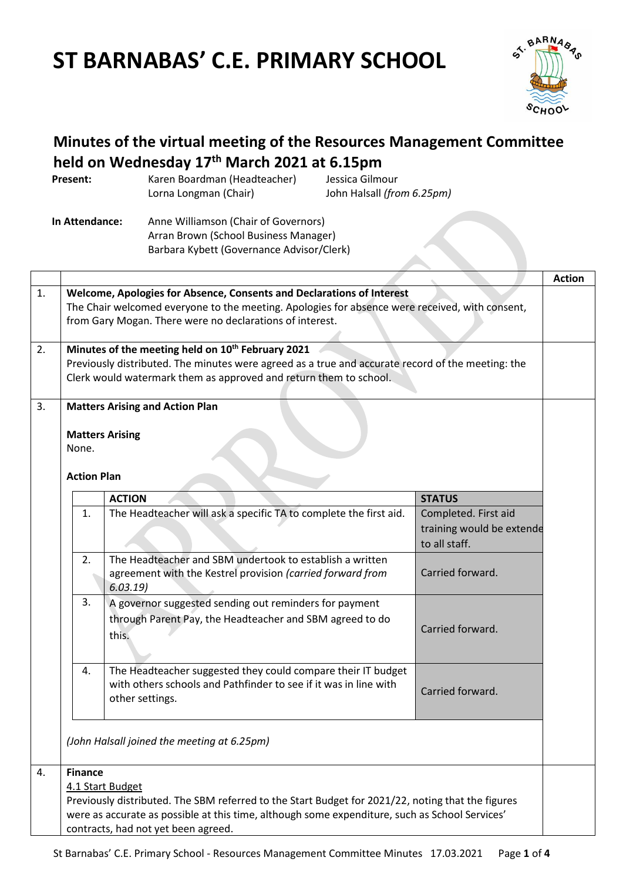# **ST BARNABAS' C.E. PRIMARY SCHOOL**



# **Minutes of the virtual meeting of the Resources Management Committee held on Wednesday 17th March 2021 at 6.15pm**

| Present: | Karen Boardman (Headteacher) | Jessica Gilmour            |
|----------|------------------------------|----------------------------|
|          | Lorna Longman (Chair)        | John Halsall (from 6.25pm) |

**In Attendance:** Anne Williamson (Chair of Governors) Arran Brown (School Business Manager) Barbara Kybett (Governance Advisor/Clerk)

|    |                                                                                                                                                            |                                                                                                                                                                                                                                            |                                                                    | <b>Action</b> |
|----|------------------------------------------------------------------------------------------------------------------------------------------------------------|--------------------------------------------------------------------------------------------------------------------------------------------------------------------------------------------------------------------------------------------|--------------------------------------------------------------------|---------------|
| 1. |                                                                                                                                                            | Welcome, Apologies for Absence, Consents and Declarations of Interest                                                                                                                                                                      |                                                                    |               |
|    | The Chair welcomed everyone to the meeting. Apologies for absence were received, with consent,<br>from Gary Mogan. There were no declarations of interest. |                                                                                                                                                                                                                                            |                                                                    |               |
| 2. |                                                                                                                                                            | Minutes of the meeting held on 10 <sup>th</sup> February 2021<br>Previously distributed. The minutes were agreed as a true and accurate record of the meeting: the<br>Clerk would watermark them as approved and return them to school.    |                                                                    |               |
|    |                                                                                                                                                            | <b>Matters Arising and Action Plan</b>                                                                                                                                                                                                     |                                                                    |               |
| 3. |                                                                                                                                                            | <b>Matters Arising</b>                                                                                                                                                                                                                     |                                                                    |               |
|    | None.                                                                                                                                                      |                                                                                                                                                                                                                                            |                                                                    |               |
|    | <b>Action Plan</b>                                                                                                                                         |                                                                                                                                                                                                                                            |                                                                    |               |
|    |                                                                                                                                                            | <b>ACTION</b>                                                                                                                                                                                                                              | <b>STATUS</b>                                                      |               |
|    | 1.                                                                                                                                                         | The Headteacher will ask a specific TA to complete the first aid.                                                                                                                                                                          | Completed. First aid<br>training would be extende<br>to all staff. |               |
|    | 2.                                                                                                                                                         | The Headteacher and SBM undertook to establish a written<br>agreement with the Kestrel provision (carried forward from<br>6.03.19                                                                                                          | Carried forward.                                                   |               |
|    | 3.                                                                                                                                                         | A governor suggested sending out reminders for payment<br>through Parent Pay, the Headteacher and SBM agreed to do<br>this.                                                                                                                | Carried forward.                                                   |               |
|    | 4.                                                                                                                                                         | The Headteacher suggested they could compare their IT budget<br>with others schools and Pathfinder to see if it was in line with<br>other settings.                                                                                        | Carried forward.                                                   |               |
|    |                                                                                                                                                            | (John Halsall joined the meeting at 6.25pm)                                                                                                                                                                                                |                                                                    |               |
| 4. | <b>Finance</b>                                                                                                                                             | 4.1 Start Budget                                                                                                                                                                                                                           |                                                                    |               |
|    |                                                                                                                                                            | Previously distributed. The SBM referred to the Start Budget for 2021/22, noting that the figures<br>were as accurate as possible at this time, although some expenditure, such as School Services'<br>contracts, had not yet been agreed. |                                                                    |               |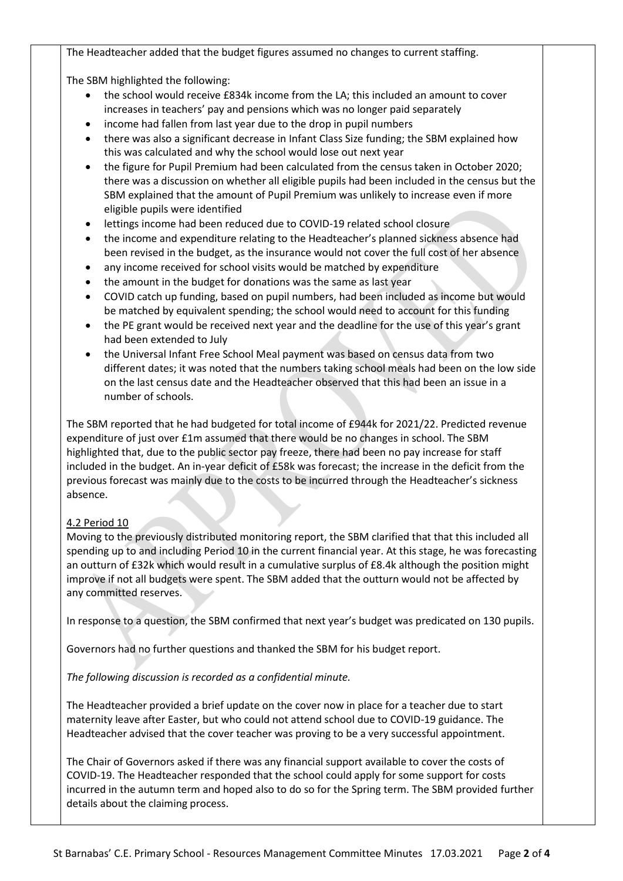The Headteacher added that the budget figures assumed no changes to current staffing.

The SBM highlighted the following:

- the school would receive £834k income from the LA; this included an amount to cover increases in teachers' pay and pensions which was no longer paid separately
- income had fallen from last year due to the drop in pupil numbers
- there was also a significant decrease in Infant Class Size funding; the SBM explained how this was calculated and why the school would lose out next year
- the figure for Pupil Premium had been calculated from the census taken in October 2020; there was a discussion on whether all eligible pupils had been included in the census but the SBM explained that the amount of Pupil Premium was unlikely to increase even if more eligible pupils were identified
- lettings income had been reduced due to COVID-19 related school closure
- the income and expenditure relating to the Headteacher's planned sickness absence had been revised in the budget, as the insurance would not cover the full cost of her absence
- any income received for school visits would be matched by expenditure
- the amount in the budget for donations was the same as last year
- COVID catch up funding, based on pupil numbers, had been included as income but would be matched by equivalent spending; the school would need to account for this funding
- the PE grant would be received next year and the deadline for the use of this year's grant had been extended to July
- the Universal Infant Free School Meal payment was based on census data from two different dates; it was noted that the numbers taking school meals had been on the low side on the last census date and the Headteacher observed that this had been an issue in a number of schools.

The SBM reported that he had budgeted for total income of £944k for 2021/22. Predicted revenue expenditure of just over £1m assumed that there would be no changes in school. The SBM highlighted that, due to the public sector pay freeze, there had been no pay increase for staff included in the budget. An in-year deficit of £58k was forecast; the increase in the deficit from the previous forecast was mainly due to the costs to be incurred through the Headteacher's sickness absence.

#### 4.2 Period 10

Moving to the previously distributed monitoring report, the SBM clarified that that this included all spending up to and including Period 10 in the current financial year. At this stage, he was forecasting an outturn of £32k which would result in a cumulative surplus of £8.4k although the position might improve if not all budgets were spent. The SBM added that the outturn would not be affected by any committed reserves.

In response to a question, the SBM confirmed that next year's budget was predicated on 130 pupils.

Governors had no further questions and thanked the SBM for his budget report.

*The following discussion is recorded as a confidential minute.* 

The Headteacher provided a brief update on the cover now in place for a teacher due to start maternity leave after Easter, but who could not attend school due to COVID-19 guidance. The Headteacher advised that the cover teacher was proving to be a very successful appointment.

The Chair of Governors asked if there was any financial support available to cover the costs of COVID-19. The Headteacher responded that the school could apply for some support for costs incurred in the autumn term and hoped also to do so for the Spring term. The SBM provided further details about the claiming process.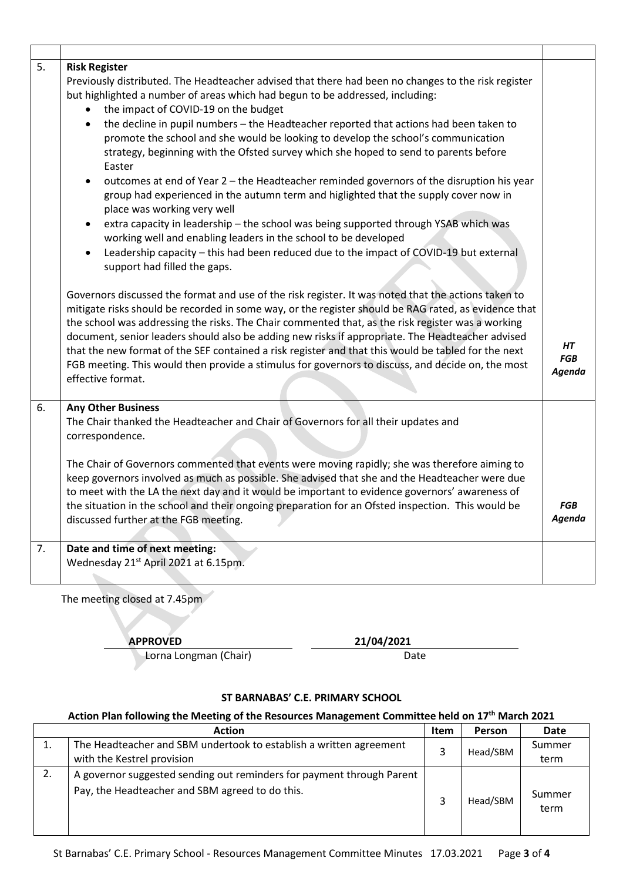| 5. | <b>Risk Register</b><br>Previously distributed. The Headteacher advised that there had been no changes to the risk register<br>but highlighted a number of areas which had begun to be addressed, including:<br>the impact of COVID-19 on the budget<br>the decline in pupil numbers - the Headteacher reported that actions had been taken to<br>$\bullet$<br>promote the school and she would be looking to develop the school's communication<br>strategy, beginning with the Ofsted survey which she hoped to send to parents before<br>Easter<br>outcomes at end of Year 2 - the Headteacher reminded governors of the disruption his year<br>$\bullet$<br>group had experienced in the autumn term and higlighted that the supply cover now in<br>place was working very well<br>extra capacity in leadership - the school was being supported through YSAB which was<br>working well and enabling leaders in the school to be developed<br>Leadership capacity - this had been reduced due to the impact of COVID-19 but external<br>support had filled the gaps. |                            |
|----|--------------------------------------------------------------------------------------------------------------------------------------------------------------------------------------------------------------------------------------------------------------------------------------------------------------------------------------------------------------------------------------------------------------------------------------------------------------------------------------------------------------------------------------------------------------------------------------------------------------------------------------------------------------------------------------------------------------------------------------------------------------------------------------------------------------------------------------------------------------------------------------------------------------------------------------------------------------------------------------------------------------------------------------------------------------------------|----------------------------|
|    | Governors discussed the format and use of the risk register. It was noted that the actions taken to<br>mitigate risks should be recorded in some way, or the register should be RAG rated, as evidence that<br>the school was addressing the risks. The Chair commented that, as the risk register was a working<br>document, senior leaders should also be adding new risks if appropriate. The Headteacher advised<br>that the new format of the SEF contained a risk register and that this would be tabled for the next<br>FGB meeting. This would then provide a stimulus for governors to discuss, and decide on, the most<br>effective format.                                                                                                                                                                                                                                                                                                                                                                                                                    | HТ<br><b>FGB</b><br>Agenda |
| 6. | <b>Any Other Business</b><br>The Chair thanked the Headteacher and Chair of Governors for all their updates and<br>correspondence.<br>The Chair of Governors commented that events were moving rapidly; she was therefore aiming to<br>keep governors involved as much as possible. She advised that she and the Headteacher were due<br>to meet with the LA the next day and it would be important to evidence governors' awareness of<br>the situation in the school and their ongoing preparation for an Ofsted inspection. This would be<br>discussed further at the FGB meeting.                                                                                                                                                                                                                                                                                                                                                                                                                                                                                    | FGB<br>Agenda              |
| 7. | Date and time of next meeting:<br>Wednesday 21st April 2021 at 6.15pm.                                                                                                                                                                                                                                                                                                                                                                                                                                                                                                                                                                                                                                                                                                                                                                                                                                                                                                                                                                                                   |                            |

The meeting closed at 7.45pm

**APPROVED 21/04/2021**

Lorna Longman (Chair) Date

#### **ST BARNABAS' C.E. PRIMARY SCHOOL**

### **Action Plan following the Meeting of the Resources Management Committee held on 17th March 2021**

|    | <b>Action</b>                                                                                                            | Item | Person   | Date           |
|----|--------------------------------------------------------------------------------------------------------------------------|------|----------|----------------|
|    | The Headteacher and SBM undertook to establish a written agreement                                                       |      | Head/SBM | Summer         |
|    | with the Kestrel provision                                                                                               |      |          | term           |
| 2. | A governor suggested sending out reminders for payment through Parent<br>Pay, the Headteacher and SBM agreed to do this. |      | Head/SBM | Summer<br>term |